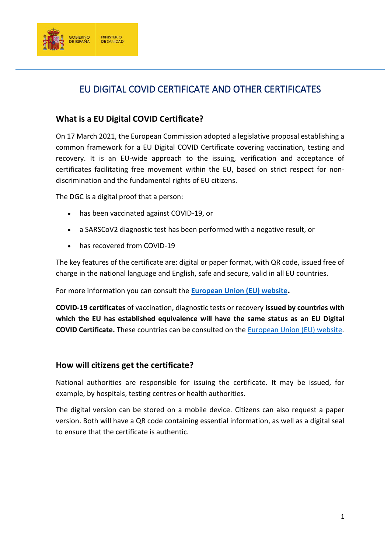

# EU DIGITAL COVID CERTIFICATE AND OTHER CERTIFICATES

### **What is a EU Digital COVID Certificate?**

On 17 March 2021, the European Commission adopted a legislative proposal establishing a common framework for a EU Digital COVID Certificate covering vaccination, testing and recovery. It is an EU-wide approach to the issuing, verification and acceptance of certificates facilitating free movement within the EU, based on strict respect for nondiscrimination and the fundamental rights of EU citizens.

The DGC is a digital proof that a person:

- has been vaccinated against COVID-19, or
- a SARSCoV2 diagnostic test has been performed with a negative result, or
- has recovered from COVID-19

The key features of the certificate are: digital or paper format, with QR code, issued free of charge in the national language and English, safe and secure, valid in all EU countries.

For more information you can consult the **[European Union \(EU\) website](https://ec.europa.eu/commission/presscorner/detail/en/ip_21_2593).**

**COVID-19 certificates** of vaccination, diagnostic tests or recovery **issued by countries with which the EU has established equivalence will have the same status as an EU Digital COVID Certificate.** These countries can be consulted on the [European Union \(EU\) website.](https://ec.europa.eu/info/live-work-travel-eu/coronavirus-response/safe-covid-19-vaccines-europeans/eu-digital-covid-certificate_en)

#### **How will citizens get the certificate?**

National authorities are responsible for issuing the certificate. It may be issued, for example, by hospitals, testing centres or health authorities.

The digital version can be stored on a mobile device. Citizens can also request a paper version. Both will have a QR code containing essential information, as well as a digital seal to ensure that the certificate is authentic.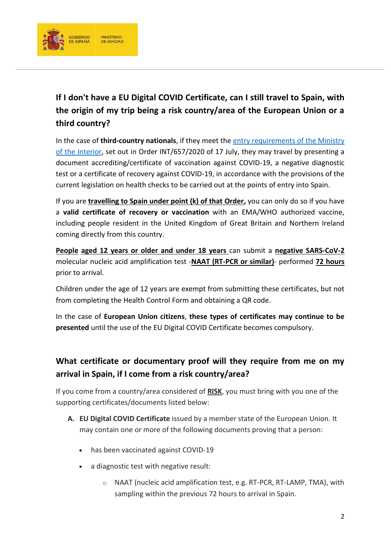

**If I don't have a EU Digital COVID Certificate, can I still travel to Spain, with the origin of my trip being a risk country/area of the European Union or a third country?**

In the case of **third-country nationals**, if they meet the [entry requirements of the Ministry](https://www.mscbs.gob.es/en/profesionales/saludPublica/ccayes/alertasActual/nCov/spth.htm)  [of the Interior,](https://www.mscbs.gob.es/en/profesionales/saludPublica/ccayes/alertasActual/nCov/spth.htm) set out in Order INT/657/2020 of 17 July, they may travel by presenting a document accrediting/certificate of vaccination against COVID-19, a negative diagnostic test or a certificate of recovery against COVID-19, in accordance with the provisions of the current legislation on health checks to be carried out at the points of entry into Spain.

If you are **travelling to Spain under point (k) of that Order,** you can only do so if you have a **valid certificate of recovery or vaccination** with an EMA/WHO authorized vaccine, including people resident in the United Kingdom of Great Britain and Northern Ireland coming directly from this country.

**People aged 12 years or older and under 18 years** can submit a **negative SARS-CoV-2** molecular nucleic acid amplification test -**NAAT (RT-PCR or similar)**- performed **72 hours**  prior to arrival.

Children under the age of 12 years are exempt from submitting these certificates, but not from completing the Health Control Form and obtaining a QR code.

In the case of **European Union citizens**, **these types of certificates may continue to be presented** until the use of the EU Digital COVID Certificate becomes compulsory.

### **What certificate or documentary proof will they require from me on my arrival in Spain, if I come from a risk country/area?**

If you come from a country/area considered of **RISK**, you must bring with you one of the supporting certificates/documents listed below:

- **A. EU Digital COVID Certificate** issued by a member state of the European Union. It may contain one or more of the following documents proving that a person:
	- has been vaccinated against COVID-19
	- a diagnostic test with negative result:
		- o NAAT (nucleic acid amplification test, e.g. RT-PCR, RT-LAMP, TMA), with sampling within the previous 72 hours to arrival in Spain.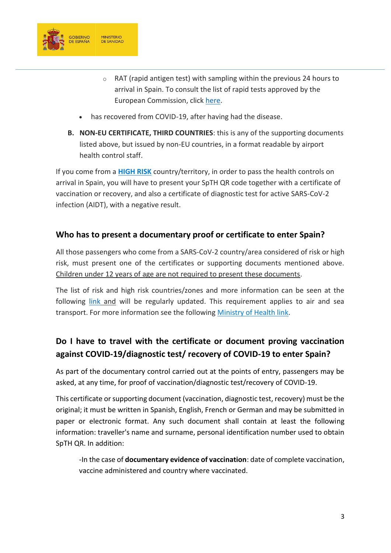

- o RAT (rapid antigen test) with sampling within the previous 24 hours to arrival in Spain. To consult the list of rapid tests approved by the European Commission, click [here.](https://ec.europa.eu/health/system/files/2022-02/covid-19_rat_common-list_en.pdf)
- has recovered from COVID-19, after having had the disease.
- **B. NON-EU CERTIFICATE, THIRD COUNTRIES**: this is any of the supporting documents listed above, but issued by non-EU countries, in a format readable by airport health control staff.

If you come from a **[HIGH RISK](https://www.mscbs.gob.es/en/profesionales/saludPublica/ccayes/alertasActual/nCov/spth.htm)** country/territory, in order to pass the health controls on arrival in Spain, you will have to present your SpTH QR code together with a certificate of vaccination or recovery, and also a certificate of diagnostic test for active SARS-CoV-2 infection (AIDT), with a negative result.

### **Who has to present a documentary proof or certificate to enter Spain?**

All those passengers who come from a SARS-CoV-2 country/area considered of risk or high risk, must present one of the certificates or supporting documents mentioned above. Children under 12 years of age are not required to present these documents.

The list of risk and high risk countries/zones and more information can be seen at the following [link](https://www.mscbs.gob.es/profesionales/saludPublica/ccayes/alertasActual/nCov/spth.htm) and will be regularly updated. This requirement applies to air and sea transport. For more information see the following [Ministry of Health link.](https://www.mscbs.gob.es/en/profesionales/saludPublica/sanidadExterior/ControlHS.htm)

# **Do I have to travel with the certificate or document proving vaccination against COVID-19/diagnostic test/ recovery of COVID-19 to enter Spain?**

As part of the documentary control carried out at the points of entry, passengers may be asked, at any time, for proof of vaccination/diagnostic test/recovery of COVID-19.

This certificate or supporting document (vaccination, diagnostic test, recovery) must be the original; it must be written in Spanish, English, French or German and may be submitted in paper or electronic format. Any such document shall contain at least the following information: traveller's name and surname, personal identification number used to obtain SpTH QR. In addition:

-In the case of **documentary evidence of vaccination**: date of complete vaccination, vaccine administered and country where vaccinated.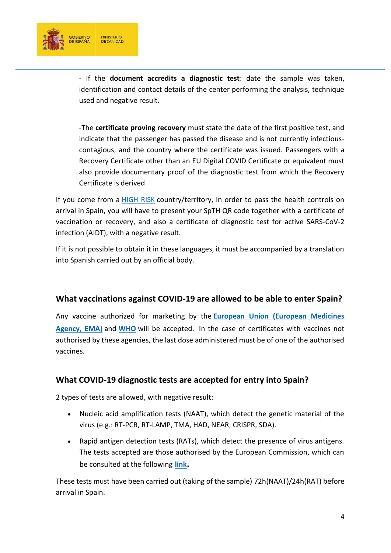

- If the **document accredits a diagnostic test**: date the sample was taken, identification and contact details of the center performing the analysis, technique used and negative result.

-The **certificate proving recovery** must state the date of the first positive test, and indicate that the passenger has passed the disease and is not currently infectiouscontagious, and the country where the certificate was issued. Passengers with a Recovery Certificate other than an EU Digital COVID Certificate or equivalent must also provide documentary proof of the diagnostic test from which the Recovery Certificate is derived

If you come from a [HIGH RISK](https://www.mscbs.gob.es/en/profesionales/saludPublica/ccayes/alertasActual/nCov/spth.htm) country/territory, in order to pass the health controls on arrival in Spain, you will have to present your SpTH QR code together with a certificate of vaccination or recovery, and also a certificate of diagnostic test for active SARS-CoV-2 infection (AIDT), with a negative result.

If it is not possible to obtain it in these languages, it must be accompanied by a translation into Spanish carried out by an official body.

#### **What vaccinations against COVID-19 are allowed to be able to enter Spain?**

Any vaccine authorized for marketing by the **[European Union \(European Medicines](https://www.ema.europa.eu/en/human-regulatory/overview/public-health-threats/coronavirus-disease-covid-19/treatments-vaccines/vaccines-covid-19/covid-19-vaccines-authorised#safety-updates-for-authorised-covid-19-vaccines-section)  [Agency, EMA\)](https://www.ema.europa.eu/en/human-regulatory/overview/public-health-threats/coronavirus-disease-covid-19/treatments-vaccines/vaccines-covid-19/covid-19-vaccines-authorised#safety-updates-for-authorised-covid-19-vaccines-section)** and **[WHO](https://www.who.int/teams/regulation-prequalification/eul/covid-19)** will be accepted. In the case of certificates with vaccines not authorised by these agencies, the last dose administered must be of one of the authorised vaccines.

#### **What COVID-19 diagnostic tests are accepted for entry into Spain?**

2 types of tests are allowed, with negative result:

- Nucleic acid amplification tests (NAAT), which detect the genetic material of the virus (e.g.: RT-PCR, RT-LAMP, TMA, HAD, NEAR, CRISPR, SDA).
- Rapid antigen detection tests (RATs), which detect the presence of virus antigens. The tests accepted are those authorised by the European Commission, which can be consulted at the following **[link](https://ec.europa.eu/health/sites/default/files/preparedness_response/docs/covid-19_rat_common-list_en.pdf).**

These tests must have been carried out (taking of the sample) 72h(NAAT)/24h(RAT) before arrival in Spain.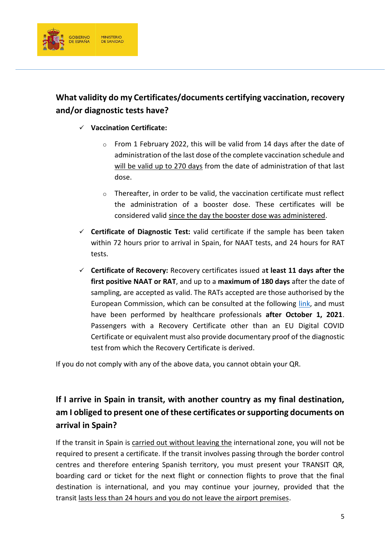

### **What validity do my Certificates/documents certifying vaccination, recovery and/or diagnostic tests have?**

- **Vaccination Certificate:**
	- $\circ$  From 1 February 2022, this will be valid from 14 days after the date of administration of the last dose of the complete vaccination schedule and will be valid up to 270 days from the date of administration of that last dose.
	- o Thereafter, in order to be valid, the vaccination certificate must reflect the administration of a booster dose. These certificates will be considered valid since the day the booster dose was administered.
- **Certificate of Diagnostic Test:** valid certificate if the sample has been taken within 72 hours prior to arrival in Spain, for NAAT tests, and 24 hours for RAT tests.
- **Certificate of Recovery:** Recovery certificates issued a**t least 11 days after the first positive NAAT or RAT**, and up to a **maximum of 180 days** after the date of sampling, are accepted as valid. The RATs accepted are those authorised by the European Commission, which can be consulted at the following [link,](https://ec.europa.eu/health/system/files/2022-02/covid-19_rat_common-list_en.pdf) and must have been performed by healthcare professionals **after October 1, 2021**. Passengers with a Recovery Certificate other than an EU Digital COVID Certificate or equivalent must also provide documentary proof of the diagnostic test from which the Recovery Certificate is derived.

If you do not comply with any of the above data, you cannot obtain your QR.

# **If I arrive in Spain in transit, with another country as my final destination, am I obliged to present one of these certificates or supporting documents on arrival in Spain?**

If the transit in Spain is carried out without leaving the international zone, you will not be required to present a certificate. If the transit involves passing through the border control centres and therefore entering Spanish territory, you must present your TRANSIT QR, boarding card or ticket for the next flight or connection flights to prove that the final destination is international, and you may continue your journey, provided that the transit lasts less than 24 hours and you do not leave the airport premises.